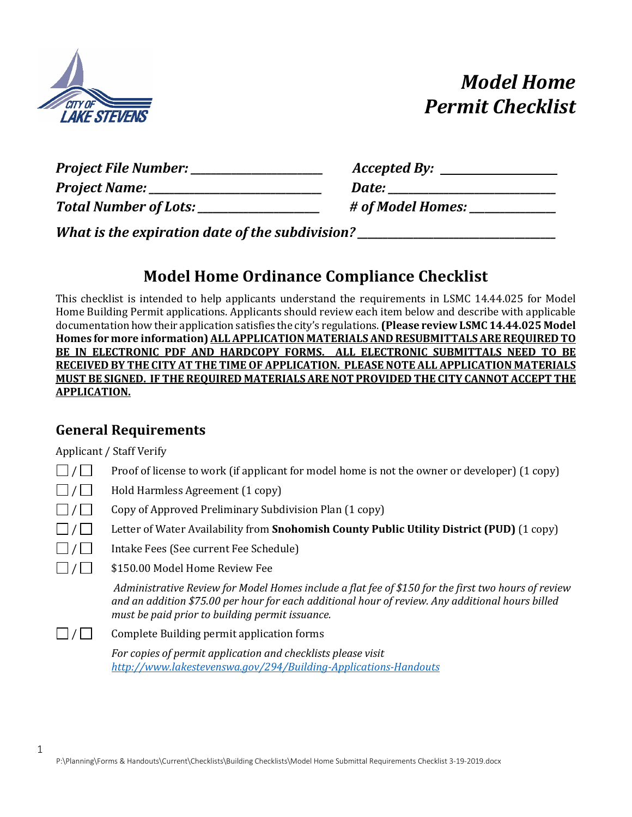

# *Model Home Permit Checklist*

| Project File Number: __      | Accepted By:      |
|------------------------------|-------------------|
| Project Name: _              | Date:             |
| <b>Total Number of Lots:</b> | # of Model Homes: |
|                              |                   |

*What is the expiration date of the subdivision?*  $\blacksquare$ 

# **Model Home Ordinance Compliance Checklist**

This checklist is intended to help applicants understand the requirements in LSMC 14.44.025 for Model Home Building Permit applications. Applicants should review each item below and describe with applicable documentation how their application satisfies the city's regulations. **(Please review LSMC 14.44.025 Model Homes for more information) ALL APPLICATION MATERIALS AND RESUBMITTALS ARE REQUIRED TO BE IN ELECTRONIC PDF AND HARDCOPY FORMS. ALL ELECTRONIC SUBMITTALS NEED TO BE RECEIVED BY THE CITY AT THE TIME OF APPLICATION. PLEASE NOTE ALL APPLICATION MATERIALS MUST BE SIGNED. IF THE REQUIRED MATERIALS ARE NOT PROVIDED THE CITY CANNOT ACCEPT THE APPLICATION.**

### **General Requirements**

Applicant / Staff Verify

1

| $\Box$ / $\Box$ Proof of license to work (if applicant for model home is not the owner or developer) (1 copy) |
|---------------------------------------------------------------------------------------------------------------|
|                                                                                                               |

 $\Box / \Box$  Hold Harmless Agreement (1 copy)

- $\Box / \Box$  Copy of Approved Preliminary Subdivision Plan (1 copy)
- / Letter of Water Availability from **Snohomish County Public Utility District (PUD)** (1 copy)
- $\Box / \Box$  Intake Fees (See current Fee Schedule)
- / \$150.00 Model Home Review Fee

*Administrative Review for Model Homes include a flat fee of \$150 for the first two hours of review and an addition \$75.00 per hour for each additional hour of review. Any additional hours billed must be paid prior to building permit issuance.* 

| $\Box / \Box$<br>Complete Building permit application forms |  |
|-------------------------------------------------------------|--|
|-------------------------------------------------------------|--|

*For copies of permit application and checklists please visit <http://www.lakestevenswa.gov/294/Building-Applications-Handouts>*